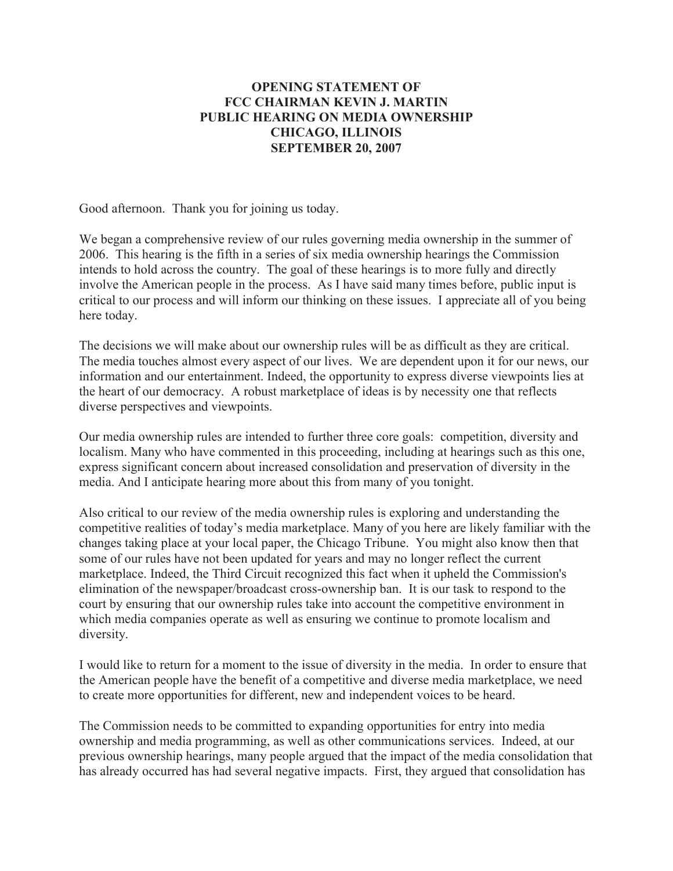## **OPENING STATEMENT OF FCC CHAIRMAN KEVIN J. MARTIN PUBLIC HEARING ON MEDIA OWNERSHIP CHICAGO, ILLINOIS SEPTEMBER 20, 2007**

Good afternoon. Thank you for joining us today.

We began a comprehensive review of our rules governing media ownership in the summer of 2006. This hearing is the fifth in a series of six media ownership hearings the Commission intends to hold across the country. The goal of these hearings is to more fully and directly involve the American people in the process. As I have said many times before, public input is critical to our process and will inform our thinking on these issues. I appreciate all of you being here today.

The decisions we will make about our ownership rules will be as difficult as they are critical. The media touches almost every aspect of our lives. We are dependent upon it for our news, our information and our entertainment. Indeed, the opportunity to express diverse viewpoints lies at the heart of our democracy. A robust marketplace of ideas is by necessity one that reflects diverse perspectives and viewpoints.

Our media ownership rules are intended to further three core goals: competition, diversity and localism. Many who have commented in this proceeding, including at hearings such as this one, express significant concern about increased consolidation and preservation of diversity in the media. And I anticipate hearing more about this from many of you tonight.

Also critical to our review of the media ownership rules is exploring and understanding the competitive realities of today's media marketplace. Many of you here are likely familiar with the changes taking place at your local paper, the Chicago Tribune. You might also know then that some of our rules have not been updated for years and may no longer reflect the current marketplace. Indeed, the Third Circuit recognized this fact when it upheld the Commission's elimination of the newspaper/broadcast cross-ownership ban. It is our task to respond to the court by ensuring that our ownership rules take into account the competitive environment in which media companies operate as well as ensuring we continue to promote localism and diversity.

I would like to return for a moment to the issue of diversity in the media. In order to ensure that the American people have the benefit of a competitive and diverse media marketplace, we need to create more opportunities for different, new and independent voices to be heard.

The Commission needs to be committed to expanding opportunities for entry into media ownership and media programming, as well as other communications services. Indeed, at our previous ownership hearings, many people argued that the impact of the media consolidation that has already occurred has had several negative impacts. First, they argued that consolidation has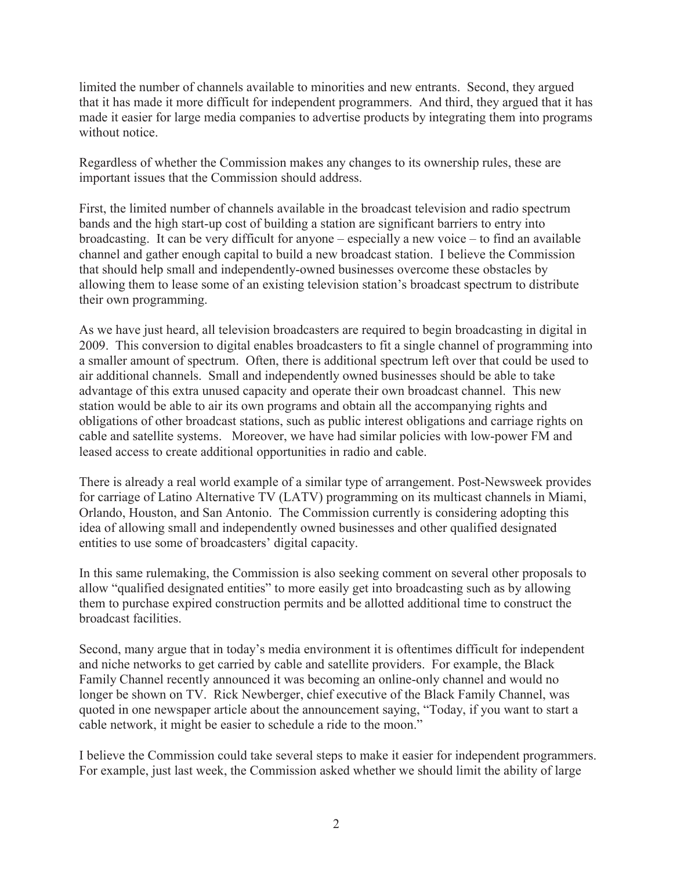limited the number of channels available to minorities and new entrants. Second, they argued that it has made it more difficult for independent programmers. And third, they argued that it has made it easier for large media companies to advertise products by integrating them into programs without notice.

Regardless of whether the Commission makes any changes to its ownership rules, these are important issues that the Commission should address.

First, the limited number of channels available in the broadcast television and radio spectrum bands and the high start-up cost of building a station are significant barriers to entry into broadcasting. It can be very difficult for anyone – especially a new voice – to find an available channel and gather enough capital to build a new broadcast station. I believe the Commission that should help small and independently-owned businesses overcome these obstacles by allowing them to lease some of an existing television station's broadcast spectrum to distribute their own programming.

As we have just heard, all television broadcasters are required to begin broadcasting in digital in 2009. This conversion to digital enables broadcasters to fit a single channel of programming into a smaller amount of spectrum. Often, there is additional spectrum left over that could be used to air additional channels. Small and independently owned businesses should be able to take advantage of this extra unused capacity and operate their own broadcast channel. This new station would be able to air its own programs and obtain all the accompanying rights and obligations of other broadcast stations, such as public interest obligations and carriage rights on cable and satellite systems. Moreover, we have had similar policies with low-power FM and leased access to create additional opportunities in radio and cable.

There is already a real world example of a similar type of arrangement. Post-Newsweek provides for carriage of Latino Alternative TV (LATV) programming on its multicast channels in Miami, Orlando, Houston, and San Antonio. The Commission currently is considering adopting this idea of allowing small and independently owned businesses and other qualified designated entities to use some of broadcasters' digital capacity.

In this same rulemaking, the Commission is also seeking comment on several other proposals to allow "qualified designated entities" to more easily get into broadcasting such as by allowing them to purchase expired construction permits and be allotted additional time to construct the broadcast facilities.

Second, many argue that in today's media environment it is oftentimes difficult for independent and niche networks to get carried by cable and satellite providers. For example, the Black Family Channel recently announced it was becoming an online-only channel and would no longer be shown on TV. Rick Newberger, chief executive of the Black Family Channel, was quoted in one newspaper article about the announcement saying, "Today, if you want to start a cable network, it might be easier to schedule a ride to the moon."

I believe the Commission could take several steps to make it easier for independent programmers. For example, just last week, the Commission asked whether we should limit the ability of large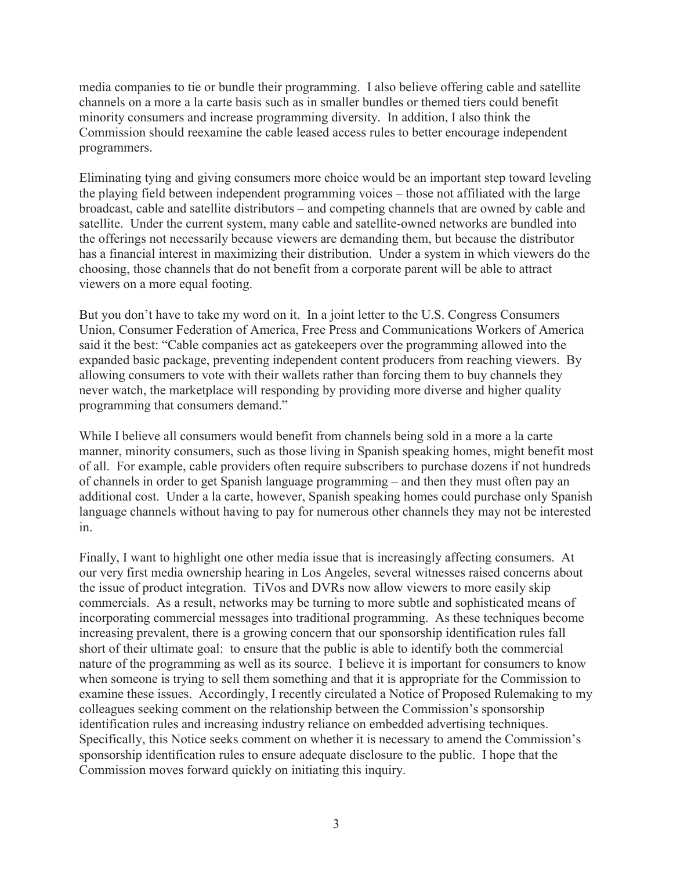media companies to tie or bundle their programming. I also believe offering cable and satellite channels on a more a la carte basis such as in smaller bundles or themed tiers could benefit minority consumers and increase programming diversity. In addition, I also think the Commission should reexamine the cable leased access rules to better encourage independent programmers.

Eliminating tying and giving consumers more choice would be an important step toward leveling the playing field between independent programming voices – those not affiliated with the large broadcast, cable and satellite distributors – and competing channels that are owned by cable and satellite. Under the current system, many cable and satellite-owned networks are bundled into the offerings not necessarily because viewers are demanding them, but because the distributor has a financial interest in maximizing their distribution. Under a system in which viewers do the choosing, those channels that do not benefit from a corporate parent will be able to attract viewers on a more equal footing.

But you don't have to take my word on it. In a joint letter to the U.S. Congress Consumers Union, Consumer Federation of America, Free Press and Communications Workers of America said it the best: "Cable companies act as gatekeepers over the programming allowed into the expanded basic package, preventing independent content producers from reaching viewers. By allowing consumers to vote with their wallets rather than forcing them to buy channels they never watch, the marketplace will responding by providing more diverse and higher quality programming that consumers demand."

While I believe all consumers would benefit from channels being sold in a more a la carte manner, minority consumers, such as those living in Spanish speaking homes, might benefit most of all. For example, cable providers often require subscribers to purchase dozens if not hundreds of channels in order to get Spanish language programming – and then they must often pay an additional cost. Under a la carte, however, Spanish speaking homes could purchase only Spanish language channels without having to pay for numerous other channels they may not be interested in.

Finally, I want to highlight one other media issue that is increasingly affecting consumers. At our very first media ownership hearing in Los Angeles, several witnesses raised concerns about the issue of product integration. TiVos and DVRs now allow viewers to more easily skip commercials. As a result, networks may be turning to more subtle and sophisticated means of incorporating commercial messages into traditional programming. As these techniques become increasing prevalent, there is a growing concern that our sponsorship identification rules fall short of their ultimate goal: to ensure that the public is able to identify both the commercial nature of the programming as well as its source. I believe it is important for consumers to know when someone is trying to sell them something and that it is appropriate for the Commission to examine these issues. Accordingly, I recently circulated a Notice of Proposed Rulemaking to my colleagues seeking comment on the relationship between the Commission's sponsorship identification rules and increasing industry reliance on embedded advertising techniques. Specifically, this Notice seeks comment on whether it is necessary to amend the Commission's sponsorship identification rules to ensure adequate disclosure to the public. I hope that the Commission moves forward quickly on initiating this inquiry.